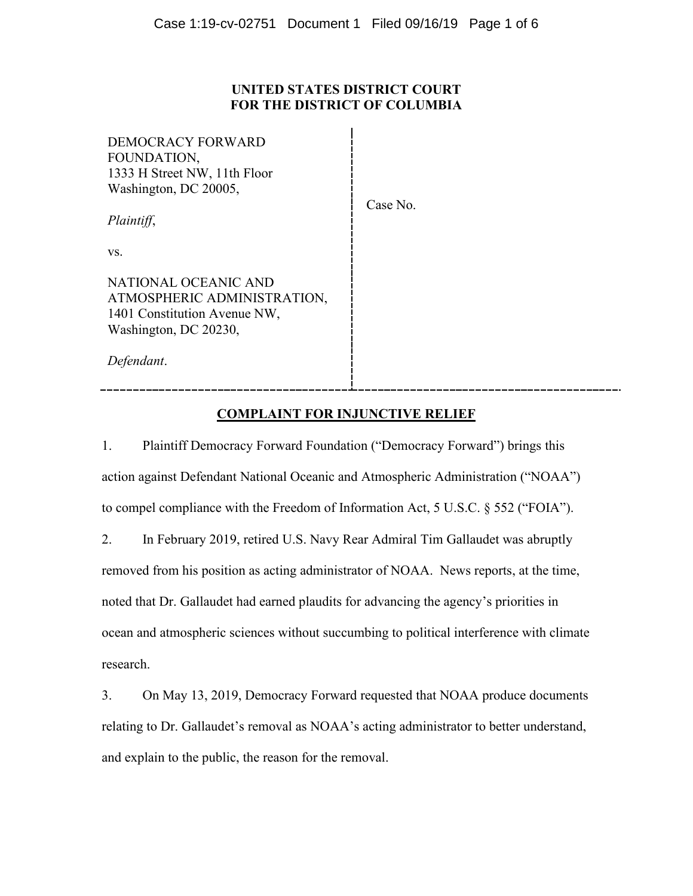## **UNITED STATES DISTRICT COURT FOR THE DISTRICT OF COLUMBIA**

| DEMOCRACY FORWARD<br>FOUNDATION,<br>1333 H Street NW, 11th Floor<br>Washington, DC 20005,<br>Plaintiff,      | Case No. |
|--------------------------------------------------------------------------------------------------------------|----------|
| VS.                                                                                                          |          |
| NATIONAL OCEANIC AND<br>ATMOSPHERIC ADMINISTRATION,<br>1401 Constitution Avenue NW,<br>Washington, DC 20230, |          |
| Defendant.                                                                                                   |          |

# **COMPLAINT FOR INJUNCTIVE RELIEF**

1. Plaintiff Democracy Forward Foundation ("Democracy Forward") brings this action against Defendant National Oceanic and Atmospheric Administration ("NOAA") to compel compliance with the Freedom of Information Act, 5 U.S.C. § 552 ("FOIA").

2. In February 2019, retired U.S. Navy Rear Admiral Tim Gallaudet was abruptly removed from his position as acting administrator of NOAA. News reports, at the time, noted that Dr. Gallaudet had earned plaudits for advancing the agency's priorities in ocean and atmospheric sciences without succumbing to political interference with climate research.

3. On May 13, 2019, Democracy Forward requested that NOAA produce documents relating to Dr. Gallaudet's removal as NOAA's acting administrator to better understand, and explain to the public, the reason for the removal.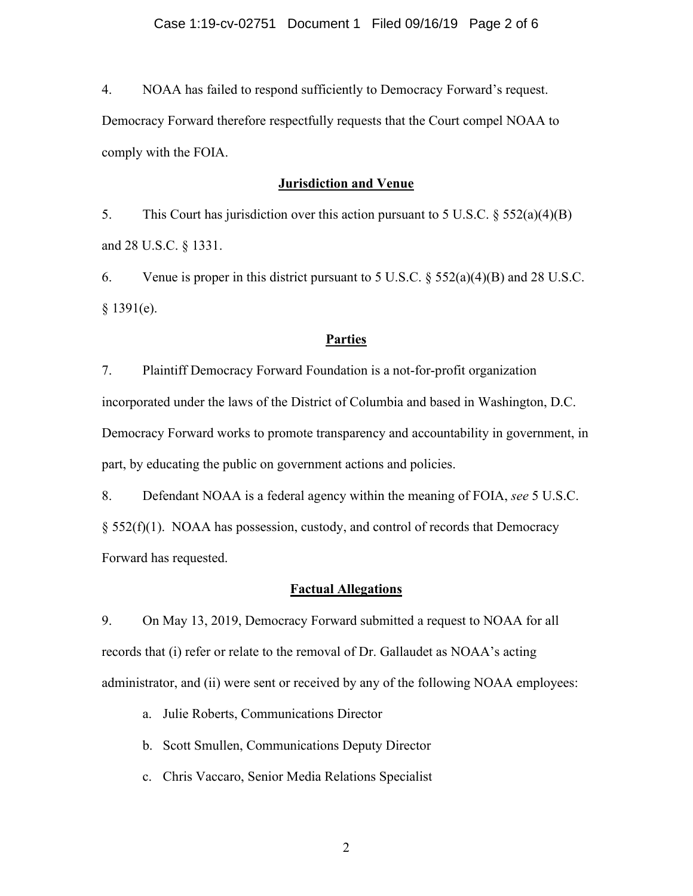4. NOAA has failed to respond sufficiently to Democracy Forward's request.

Democracy Forward therefore respectfully requests that the Court compel NOAA to comply with the FOIA.

#### **Jurisdiction and Venue**

5. This Court has jurisdiction over this action pursuant to 5 U.S.C. § 552(a)(4)(B) and 28 U.S.C. § 1331.

6. Venue is proper in this district pursuant to 5 U.S.C.  $\S 552(a)(4)(B)$  and 28 U.S.C. § 1391(e).

#### **Parties**

7. Plaintiff Democracy Forward Foundation is a not-for-profit organization incorporated under the laws of the District of Columbia and based in Washington, D.C. Democracy Forward works to promote transparency and accountability in government, in part, by educating the public on government actions and policies.

8. Defendant NOAA is a federal agency within the meaning of FOIA, *see* 5 U.S.C. § 552(f)(1). NOAA has possession, custody, and control of records that Democracy Forward has requested.

## **Factual Allegations**

9. On May 13, 2019, Democracy Forward submitted a request to NOAA for all records that (i) refer or relate to the removal of Dr. Gallaudet as NOAA's acting administrator, and (ii) were sent or received by any of the following NOAA employees:

- a. Julie Roberts, Communications Director
- b. Scott Smullen, Communications Deputy Director
- c. Chris Vaccaro, Senior Media Relations Specialist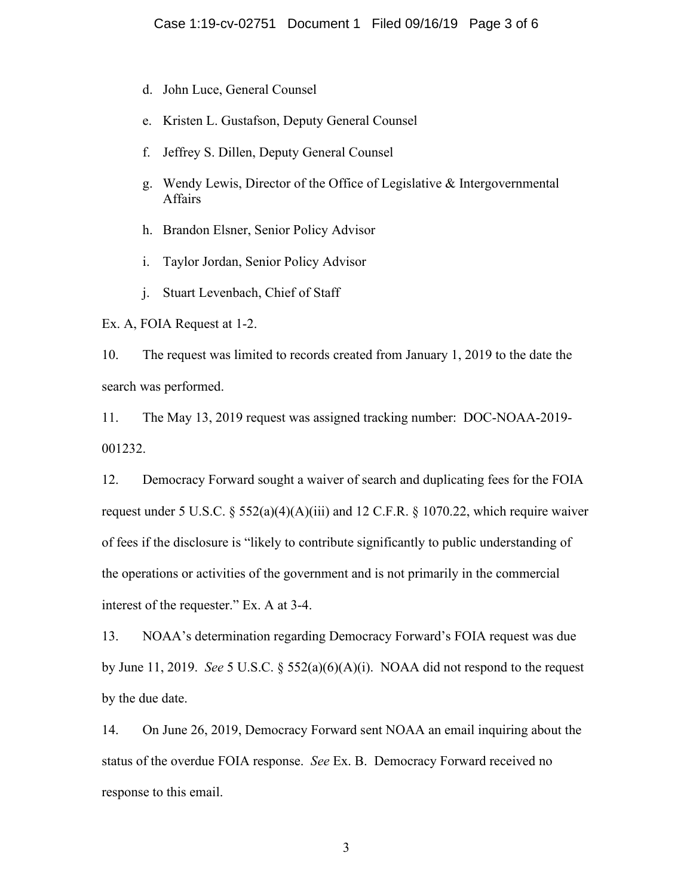- d. John Luce, General Counsel
- e. Kristen L. Gustafson, Deputy General Counsel
- f. Jeffrey S. Dillen, Deputy General Counsel
- g. Wendy Lewis, Director of the Office of Legislative & Intergovernmental Affairs
- h. Brandon Elsner, Senior Policy Advisor
- i. Taylor Jordan, Senior Policy Advisor
- j. Stuart Levenbach, Chief of Staff

Ex. A, FOIA Request at 1-2.

10. The request was limited to records created from January 1, 2019 to the date the search was performed.

11. The May 13, 2019 request was assigned tracking number: DOC-NOAA-2019- 001232.

12. Democracy Forward sought a waiver of search and duplicating fees for the FOIA request under 5 U.S.C.  $\S$  552(a)(4)(A)(iii) and 12 C.F.R.  $\S$  1070.22, which require waiver of fees if the disclosure is "likely to contribute significantly to public understanding of the operations or activities of the government and is not primarily in the commercial interest of the requester." Ex. A at 3-4.

13. NOAA's determination regarding Democracy Forward's FOIA request was due by June 11, 2019. *See* 5 U.S.C. § 552(a)(6)(A)(i). NOAA did not respond to the request by the due date.

14. On June 26, 2019, Democracy Forward sent NOAA an email inquiring about the status of the overdue FOIA response. *See* Ex. B. Democracy Forward received no response to this email.

3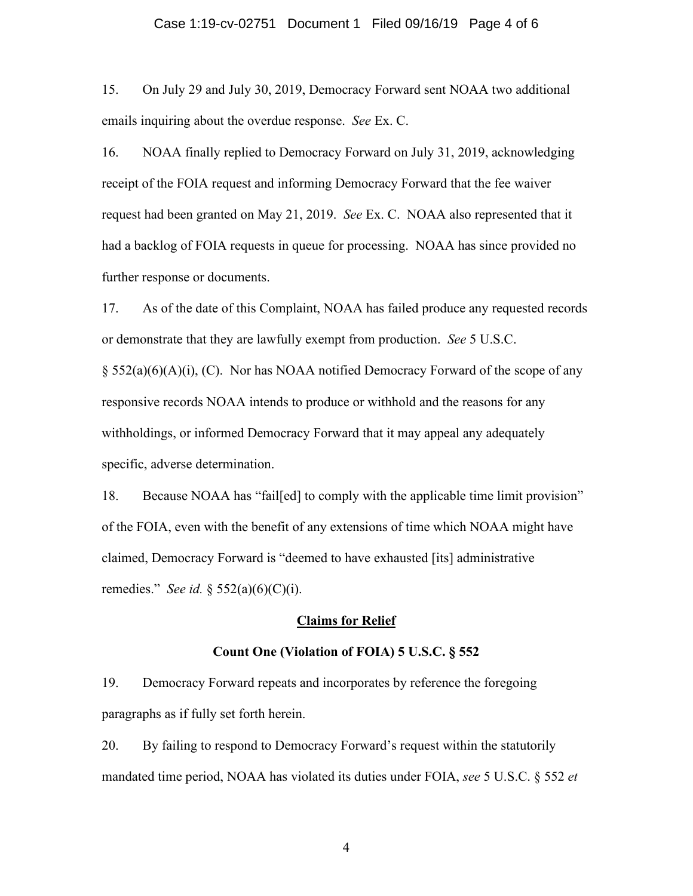#### Case 1:19-cv-02751 Document 1 Filed 09/16/19 Page 4 of 6

15. On July 29 and July 30, 2019, Democracy Forward sent NOAA two additional emails inquiring about the overdue response. *See* Ex. C.

16. NOAA finally replied to Democracy Forward on July 31, 2019, acknowledging receipt of the FOIA request and informing Democracy Forward that the fee waiver request had been granted on May 21, 2019. *See* Ex. C. NOAA also represented that it had a backlog of FOIA requests in queue for processing. NOAA has since provided no further response or documents.

17. As of the date of this Complaint, NOAA has failed produce any requested records or demonstrate that they are lawfully exempt from production. *See* 5 U.S.C.

 $\S$  552(a)(6)(A)(i), (C). Nor has NOAA notified Democracy Forward of the scope of any responsive records NOAA intends to produce or withhold and the reasons for any withholdings, or informed Democracy Forward that it may appeal any adequately specific, adverse determination.

18. Because NOAA has "fail[ed] to comply with the applicable time limit provision" of the FOIA, even with the benefit of any extensions of time which NOAA might have claimed, Democracy Forward is "deemed to have exhausted [its] administrative remedies." *See id.* § 552(a)(6)(C)(i).

#### **Claims for Relief**

#### **Count One (Violation of FOIA) 5 U.S.C. § 552**

19. Democracy Forward repeats and incorporates by reference the foregoing paragraphs as if fully set forth herein.

20. By failing to respond to Democracy Forward's request within the statutorily mandated time period, NOAA has violated its duties under FOIA, *see* 5 U.S.C. § 552 *et* 

4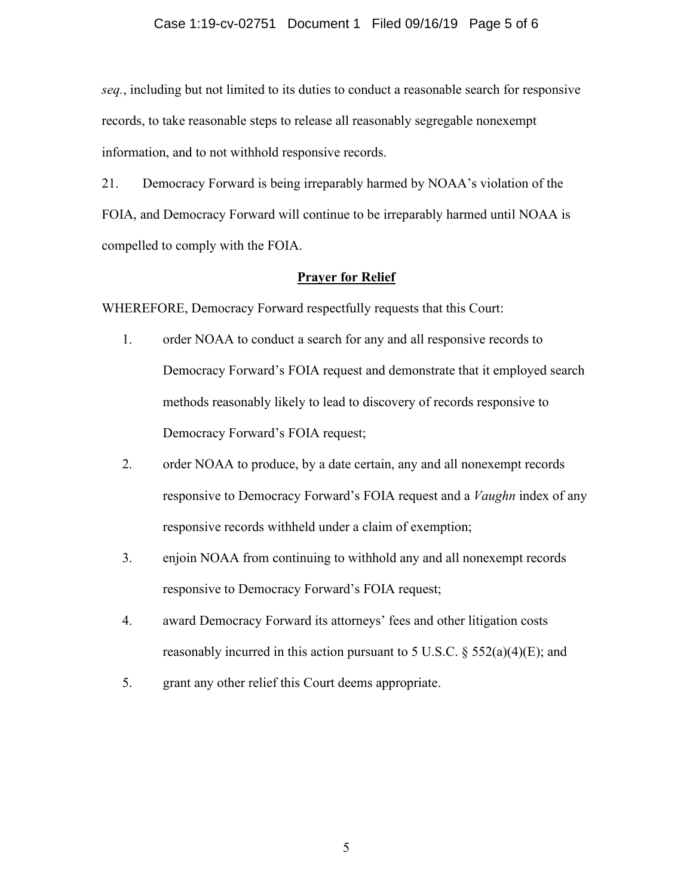*seq.*, including but not limited to its duties to conduct a reasonable search for responsive records, to take reasonable steps to release all reasonably segregable nonexempt information, and to not withhold responsive records.

21. Democracy Forward is being irreparably harmed by NOAA's violation of the FOIA, and Democracy Forward will continue to be irreparably harmed until NOAA is compelled to comply with the FOIA.

## **Prayer for Relief**

WHEREFORE, Democracy Forward respectfully requests that this Court:

- 1. order NOAA to conduct a search for any and all responsive records to Democracy Forward's FOIA request and demonstrate that it employed search methods reasonably likely to lead to discovery of records responsive to Democracy Forward's FOIA request;
- 2. order NOAA to produce, by a date certain, any and all nonexempt records responsive to Democracy Forward's FOIA request and a *Vaughn* index of any responsive records withheld under a claim of exemption;
- 3. enjoin NOAA from continuing to withhold any and all nonexempt records responsive to Democracy Forward's FOIA request;
- 4. award Democracy Forward its attorneys' fees and other litigation costs reasonably incurred in this action pursuant to 5 U.S.C.  $\S$  552(a)(4)(E); and
- 5. grant any other relief this Court deems appropriate.